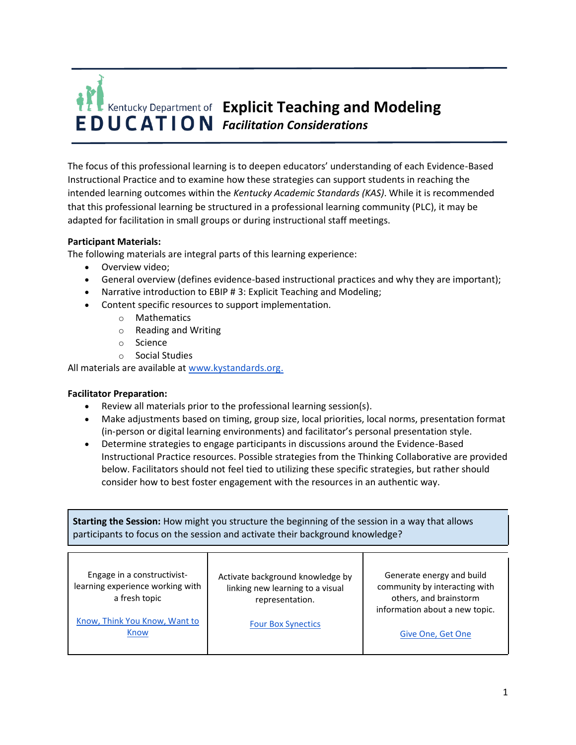

The focus of this professional learning is to deepen educators' understanding of each Evidence-Based Instructional Practice and to examine how these strategies can support students in reaching the intended learning outcomes within the *Kentucky Academic Standards (KAS)*. While it is recommended that this professional learning be structured in a professional learning community (PLC), it may be adapted for facilitation in small groups or during instructional staff meetings.

## **Participant Materials:**

The following materials are integral parts of this learning experience:

- Overview video;
- General overview (defines evidence-based instructional practices and why they are important);
- Narrative introduction to EBIP # 3: Explicit Teaching and Modeling;
- Content specific resources to support implementation.
	- o Mathematics
	- o Reading and Writing
	- o Science
	- o Social Studies

All materials are available at [www.kystandards.org.](http://www.kystandards.org/)

## **Facilitator Preparation:**

- Review all materials prior to the professional learning session(s).
- Make adjustments based on timing, group size, local priorities, local norms, presentation format (in-person or digital learning environments) and facilitator's personal presentation style.
- Determine strategies to engage participants in discussions around the Evidence-Based Instructional Practice resources. Possible strategies from the Thinking Collaborative are provided below. Facilitators should not feel tied to utilizing these specific strategies, but rather should consider how to best foster engagement with the resources in an authentic way.

**Starting the Session:** How might you structure the beginning of the session in a way that allows participants to focus on the session and activate their background knowledge?

| Engage in a constructivist-<br>learning experience working with<br>a fresh topic | Activate background knowledge by<br>linking new learning to a visual<br>representation. | Generate energy and build<br>community by interacting with<br>others, and brainstorm<br>information about a new topic. |
|----------------------------------------------------------------------------------|-----------------------------------------------------------------------------------------|------------------------------------------------------------------------------------------------------------------------|
| Know, Think You Know, Want to<br>Know                                            | <b>Four Box Synectics</b>                                                               | Give One, Get One                                                                                                      |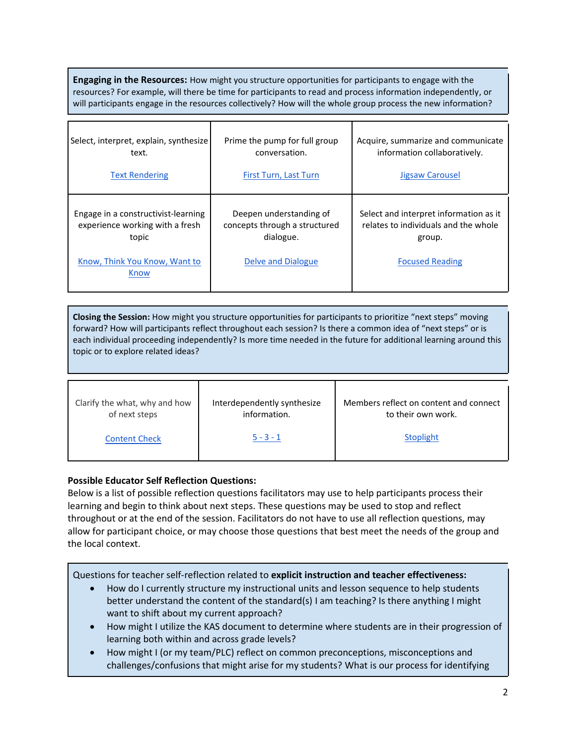**Engaging in the Resources:** How might you structure opportunities for participants to engage with the resources? For example, will there be time for participants to read and process information independently, or will participants engage in the resources collectively? How will the whole group process the new information?

| Select, interpret, explain, synthesize                                                                                   | Prime the pump for full group                                                                      | Acquire, summarize and communicate                                                                                 |
|--------------------------------------------------------------------------------------------------------------------------|----------------------------------------------------------------------------------------------------|--------------------------------------------------------------------------------------------------------------------|
| text.                                                                                                                    | conversation.                                                                                      | information collaboratively.                                                                                       |
| <b>Text Rendering</b>                                                                                                    | First Turn, Last Turn                                                                              | Jigsaw Carousel                                                                                                    |
| Engage in a constructivist-learning<br>experience working with a fresh<br>topic<br>Know, Think You Know, Want to<br>Know | Deepen understanding of<br>concepts through a structured<br>dialogue.<br><b>Delve and Dialogue</b> | Select and interpret information as it<br>relates to individuals and the whole<br>group.<br><b>Focused Reading</b> |

**Closing the Session:** How might you structure opportunities for participants to prioritize "next steps" moving forward? How will participants reflect throughout each session? Is there a common idea of "next steps" or is each individual proceeding independently? Is more time needed in the future for additional learning around this topic or to explore related ideas?

| Clarify the what, why and how | Interdependently synthesize | Members reflect on content and connect |
|-------------------------------|-----------------------------|----------------------------------------|
| of next steps                 | information.                | to their own work.                     |
| <b>Content Check</b>          | $5 - 3 - 1$                 | Stoplight                              |

## **Possible Educator Self Reflection Questions:**

Below is a list of possible reflection questions facilitators may use to help participants process their learning and begin to think about next steps. These questions may be used to stop and reflect throughout or at the end of the session. Facilitators do not have to use all reflection questions, may allow for participant choice, or may choose those questions that best meet the needs of the group and the local context.

Questions for teacher self-reflection related to **explicit instruction and teacher effectiveness:**

- How do I currently structure my instructional units and lesson sequence to help students better understand the content of the standard(s) I am teaching? Is there anything I might want to shift about my current approach?
- How might I utilize the KAS document to determine where students are in their progression of learning both within and across grade levels?
- How might I (or my team/PLC) reflect on common preconceptions, misconceptions and challenges/confusions that might arise for my students? What is our process for identifying